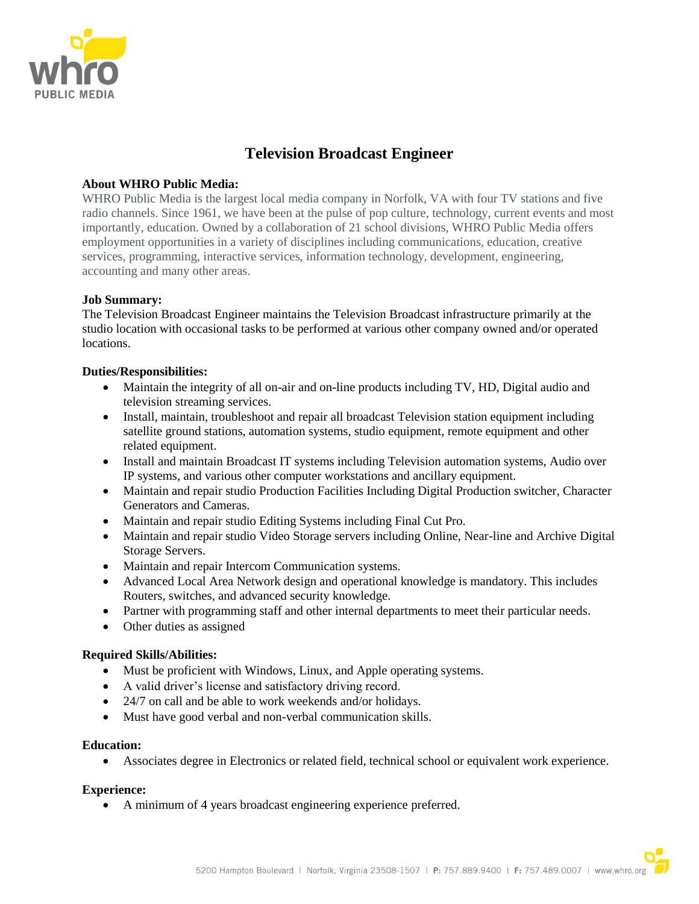

# **Television Broadcast Engineer**

#### **About WHRO Public Media:**

WHRO Public Media is the largest local media company in Norfolk, VA with four TV stations and five radio channels. Since 1961, we have been at the pulse of pop culture, technology, current events and most importantly, education. Owned by a collaboration of 21 school divisions, WHRO Public Media offers employment opportunities in a variety of disciplines including communications, education, creative services, programming, interactive services, information technology, development, engineering, accounting and many other areas.

### **Job Summary:**

The Television Broadcast Engineer maintains the Television Broadcast infrastructure primarily at the studio location with occasional tasks to be performed at various other company owned and/or operated locations.

#### **Duties/Responsibilities:**

- Maintain the integrity of all on-air and on-line products including TV, HD, Digital audio and television streaming services.
- Install, maintain, troubleshoot and repair all broadcast Television station equipment including satellite ground stations, automation systems, studio equipment, remote equipment and other related equipment.
- Install and maintain Broadcast IT systems including Television automation systems, Audio over IP systems, and various other computer workstations and ancillary equipment.
- Maintain and repair studio Production Facilities Including Digital Production switcher, Character Generators and Cameras.
- Maintain and repair studio Editing Systems including Final Cut Pro.
- Maintain and repair studio Video Storage servers including Online, Near-line and Archive Digital Storage Servers.
- Maintain and repair Intercom Communication systems.
- Advanced Local Area Network design and operational knowledge is mandatory. This includes Routers, switches, and advanced security knowledge.
- Partner with programming staff and other internal departments to meet their particular needs.
- Other duties as assigned

#### **Required Skills/Abilities:**

- Must be proficient with Windows, Linux, and Apple operating systems.
- A valid driver's license and satisfactory driving record.
- 24/7 on call and be able to work weekends and/or holidays.
- Must have good verbal and non-verbal communication skills.

#### **Education:**

• Associates degree in Electronics or related field, technical school or equivalent work experience.

#### **Experience:**

• A minimum of 4 years broadcast engineering experience preferred.